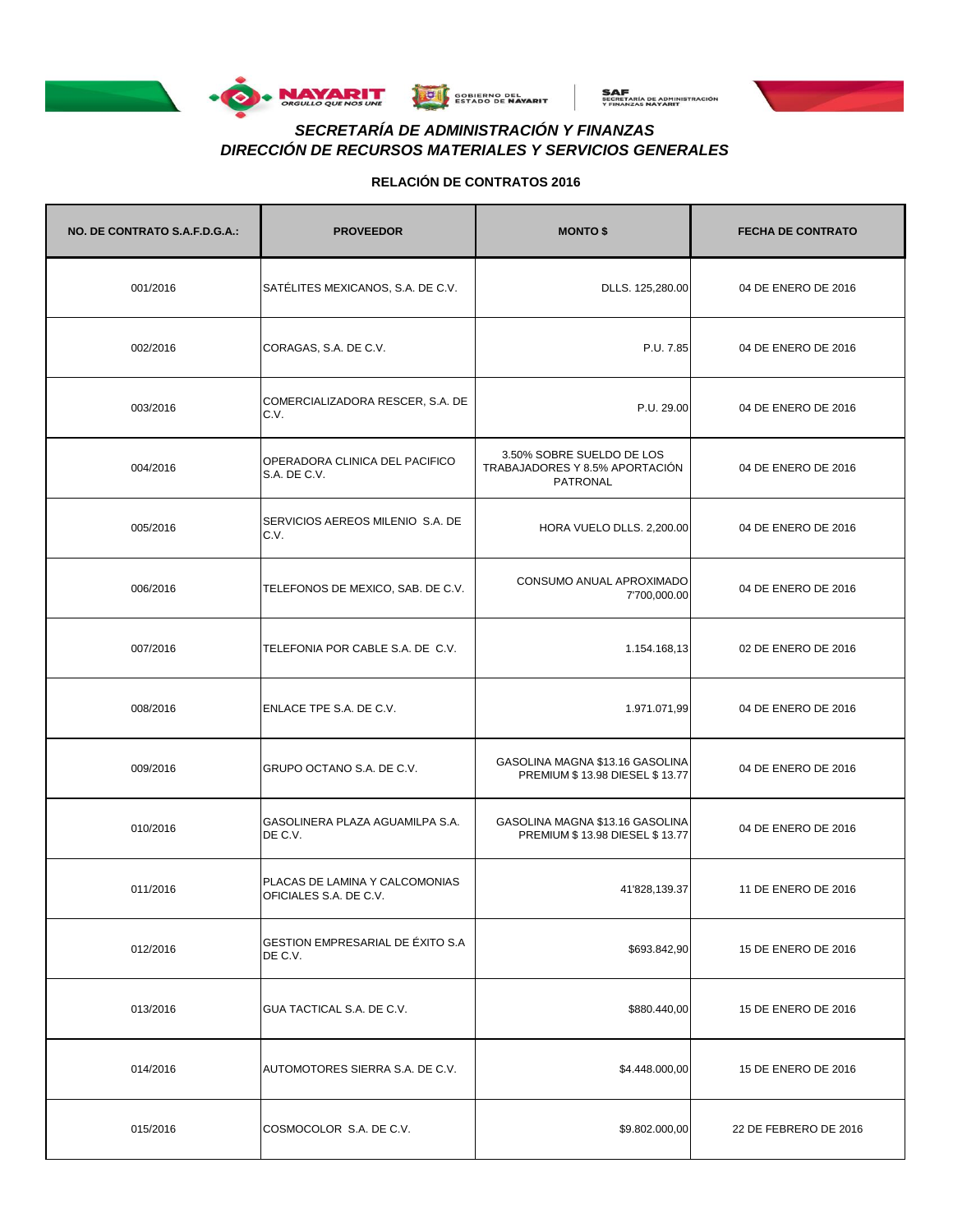





# *DIRECCIÓN DE RECURSOS MATERIALES Y SERVICIOS GENERALES SECRETARÍA DE ADMINISTRACIÓN Y FINANZAS*

| NO. DE CONTRATO S.A.F.D.G.A.: | <b>PROVEEDOR</b>                                         | <b>MONTO \$</b>                                                         | <b>FECHA DE CONTRATO</b> |
|-------------------------------|----------------------------------------------------------|-------------------------------------------------------------------------|--------------------------|
| 001/2016                      | SATÉLITES MEXICANOS, S.A. DE C.V.                        | DLLS. 125,280.00                                                        | 04 DE ENERO DE 2016      |
| 002/2016                      | CORAGAS, S.A. DE C.V.                                    | P.U. 7.85                                                               | 04 DE ENERO DE 2016      |
| 003/2016                      | COMERCIALIZADORA RESCER, S.A. DE<br>C.V.                 | P.U. 29.00                                                              | 04 DE ENERO DE 2016      |
| 004/2016                      | OPERADORA CLINICA DEL PACIFICO<br>S.A. DE C.V.           | 3.50% SOBRE SUELDO DE LOS<br>TRABAJADORES Y 8.5% APORTACIÓN<br>PATRONAL | 04 DE ENERO DE 2016      |
| 005/2016                      | SERVICIOS AEREOS MILENIO S.A. DE<br>C.V.                 | HORA VUELO DLLS. 2,200.00                                               | 04 DE ENERO DE 2016      |
| 006/2016                      | TELEFONOS DE MEXICO, SAB. DE C.V.                        | CONSUMO ANUAL APROXIMADO<br>7'700,000.00                                | 04 DE ENERO DE 2016      |
| 007/2016                      | TELEFONIA POR CABLE S.A. DE C.V.                         | 1.154.168,13                                                            | 02 DE ENERO DE 2016      |
| 008/2016                      | ENLACE TPE S.A. DE C.V.                                  | 1.971.071,99                                                            | 04 DE ENERO DE 2016      |
| 009/2016                      | GRUPO OCTANO S.A. DE C.V.                                | GASOLINA MAGNA \$13.16 GASOLINA<br>PREMIUM \$13.98 DIESEL \$13.77       | 04 DE ENERO DE 2016      |
| 010/2016                      | GASOLINERA PLAZA AGUAMILPA S.A.<br>DE C.V.               | GASOLINA MAGNA \$13.16 GASOLINA<br>PREMIUM \$13.98 DIESEL \$13.77       | 04 DE ENERO DE 2016      |
| 011/2016                      | PLACAS DE LAMINA Y CALCOMONIAS<br>OFICIALES S.A. DE C.V. | 41'828,139.37                                                           | 11 DE ENERO DE 2016      |
| 012/2016                      | GESTION EMPRESARIAL DE ÉXITO S.A<br>DE C.V.              | \$693.842,90                                                            | 15 DE ENERO DE 2016      |
| 013/2016                      | GUA TACTICAL S.A. DE C.V.                                | \$880.440,00                                                            | 15 DE ENERO DE 2016      |
| 014/2016                      | AUTOMOTORES SIERRA S.A. DE C.V.                          | \$4.448.000,00                                                          | 15 DE ENERO DE 2016      |
| 015/2016                      | COSMOCOLOR S.A. DE C.V.                                  | \$9.802.000,00                                                          | 22 DE FEBRERO DE 2016    |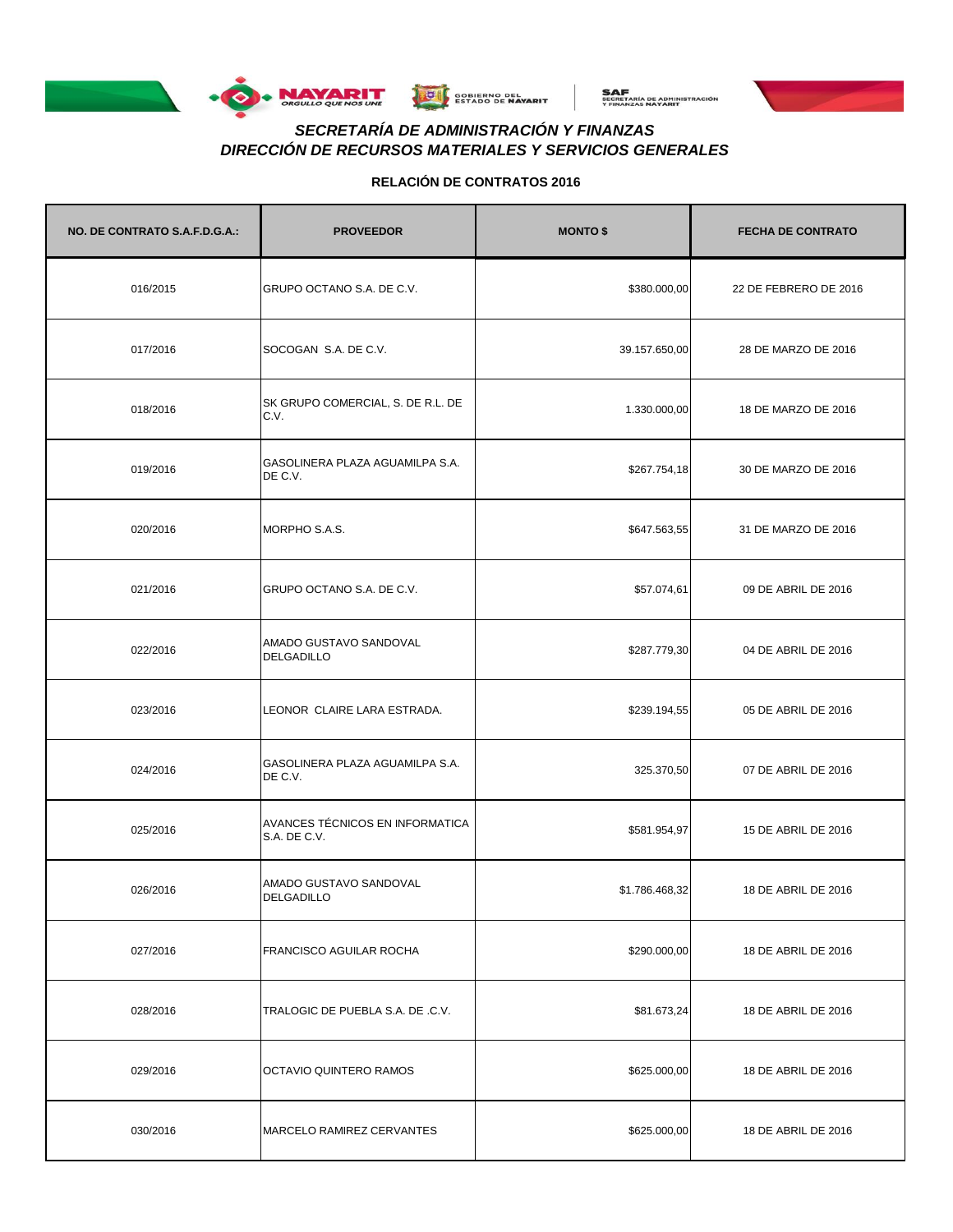





# *DIRECCIÓN DE RECURSOS MATERIALES Y SERVICIOS GENERALES SECRETARÍA DE ADMINISTRACIÓN Y FINANZAS*

| NO. DE CONTRATO S.A.F.D.G.A.: | <b>PROVEEDOR</b>                                | <b>MONTO \$</b> | <b>FECHA DE CONTRATO</b> |
|-------------------------------|-------------------------------------------------|-----------------|--------------------------|
| 016/2015                      | GRUPO OCTANO S.A. DE C.V.                       | \$380.000,00    | 22 DE FEBRERO DE 2016    |
| 017/2016                      | SOCOGAN S.A. DE C.V.                            | 39.157.650,00   | 28 DE MARZO DE 2016      |
| 018/2016                      | SK GRUPO COMERCIAL, S. DE R.L. DE<br>C.V.       | 1.330.000,00    | 18 DE MARZO DE 2016      |
| 019/2016                      | GASOLINERA PLAZA AGUAMILPA S.A.<br>DE C.V.      | \$267.754,18    | 30 DE MARZO DE 2016      |
| 020/2016                      | MORPHO S.A.S.                                   | \$647.563,55    | 31 DE MARZO DE 2016      |
| 021/2016                      | GRUPO OCTANO S.A. DE C.V.                       | \$57.074,61     | 09 DE ABRIL DE 2016      |
| 022/2016                      | AMADO GUSTAVO SANDOVAL<br><b>DELGADILLO</b>     | \$287.779,30    | 04 DE ABRIL DE 2016      |
| 023/2016                      | LEONOR CLAIRE LARA ESTRADA.                     | \$239.194,55    | 05 DE ABRIL DE 2016      |
| 024/2016                      | GASOLINERA PLAZA AGUAMILPA S.A.<br>DE C.V.      | 325.370,50      | 07 DE ABRIL DE 2016      |
| 025/2016                      | AVANCES TÉCNICOS EN INFORMATICA<br>S.A. DE C.V. | \$581.954,97    | 15 DE ABRIL DE 2016      |
| 026/2016                      | AMADO GUSTAVO SANDOVAL<br>DELGADILLO            | \$1.786.468,32  | 18 DE ABRIL DE 2016      |
| 027/2016                      | <b>FRANCISCO AGUILAR ROCHA</b>                  | \$290.000,00    | 18 DE ABRIL DE 2016      |
| 028/2016                      | TRALOGIC DE PUEBLA S.A. DE .C.V.                | \$81.673,24     | 18 DE ABRIL DE 2016      |
| 029/2016                      | OCTAVIO QUINTERO RAMOS                          | \$625.000,00    | 18 DE ABRIL DE 2016      |
| 030/2016                      | MARCELO RAMIREZ CERVANTES                       | \$625.000,00    | 18 DE ABRIL DE 2016      |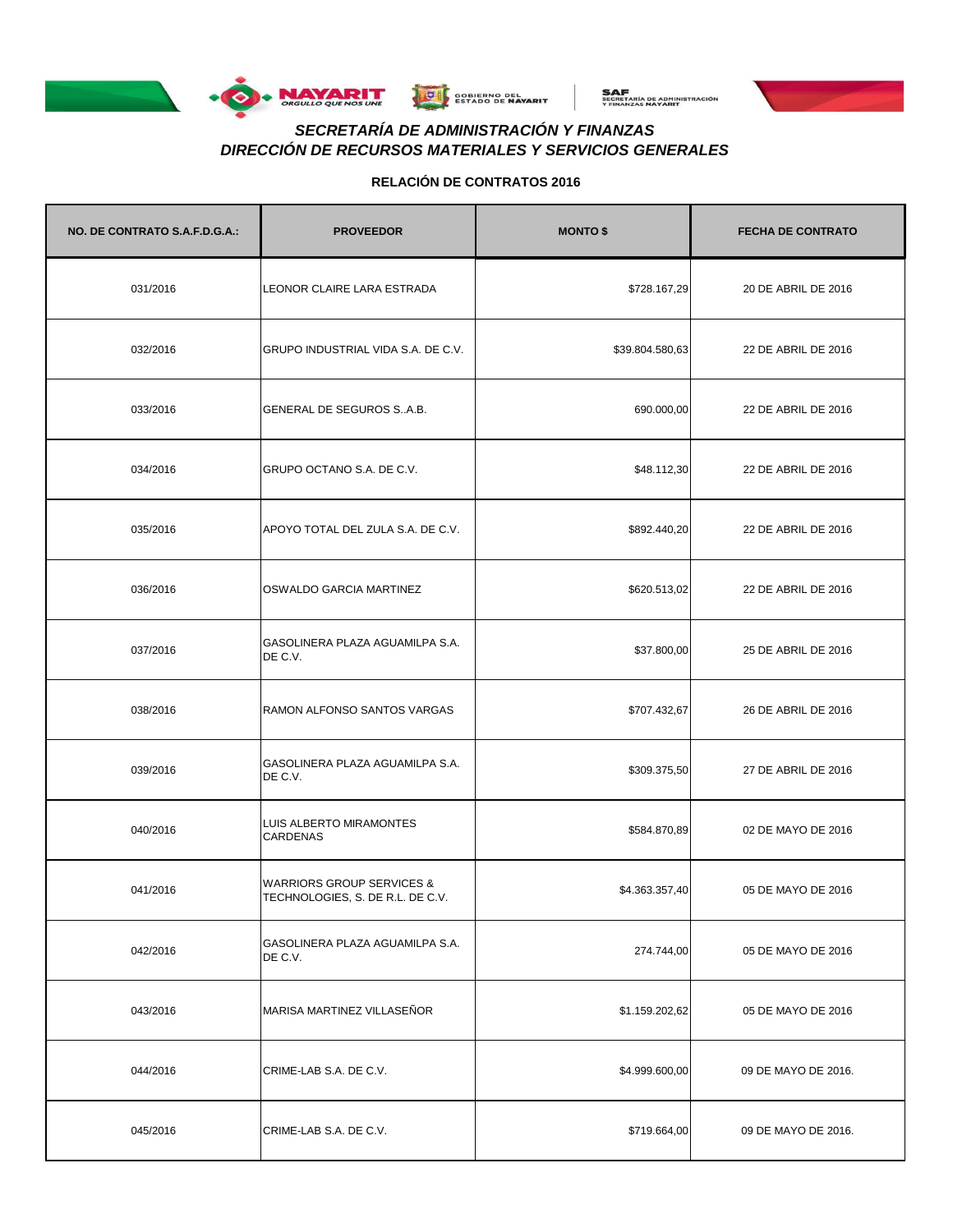





# *DIRECCIÓN DE RECURSOS MATERIALES Y SERVICIOS GENERALES SECRETARÍA DE ADMINISTRACIÓN Y FINANZAS*

| NO. DE CONTRATO S.A.F.D.G.A.: | <b>PROVEEDOR</b>                                                         | <b>MONTO \$</b> | <b>FECHA DE CONTRATO</b> |
|-------------------------------|--------------------------------------------------------------------------|-----------------|--------------------------|
| 031/2016                      | LEONOR CLAIRE LARA ESTRADA                                               | \$728.167,29    | 20 DE ABRIL DE 2016      |
| 032/2016                      | GRUPO INDUSTRIAL VIDA S.A. DE C.V.                                       | \$39.804.580,63 | 22 DE ABRIL DE 2016      |
| 033/2016                      | GENERAL DE SEGUROS SA.B.                                                 | 690.000,00      | 22 DE ABRIL DE 2016      |
| 034/2016                      | GRUPO OCTANO S.A. DE C.V.                                                | \$48.112,30     | 22 DE ABRIL DE 2016      |
| 035/2016                      | APOYO TOTAL DEL ZULA S.A. DE C.V.                                        | \$892.440,20    | 22 DE ABRIL DE 2016      |
| 036/2016                      | OSWALDO GARCIA MARTINEZ                                                  | \$620.513,02    | 22 DE ABRIL DE 2016      |
| 037/2016                      | GASOLINERA PLAZA AGUAMILPA S.A.<br>DE C.V.                               | \$37.800,00     | 25 DE ABRIL DE 2016      |
| 038/2016                      | RAMON ALFONSO SANTOS VARGAS                                              | \$707.432,67    | 26 DE ABRIL DE 2016      |
| 039/2016                      | GASOLINERA PLAZA AGUAMILPA S.A.<br>DE C.V.                               | \$309.375,50    | 27 DE ABRIL DE 2016      |
| 040/2016                      | LUIS ALBERTO MIRAMONTES<br><b>CARDENAS</b>                               | \$584.870,89    | 02 DE MAYO DE 2016       |
| 041/2016                      | <b>WARRIORS GROUP SERVICES &amp;</b><br>TECHNOLOGIES, S. DE R.L. DE C.V. | \$4.363.357,40  | 05 DE MAYO DE 2016       |
| 042/2016                      | GASOLINERA PLAZA AGUAMILPA S.A.<br>DE C.V.                               | 274.744,00      | 05 DE MAYO DE 2016       |
| 043/2016                      | MARISA MARTINEZ VILLASEÑOR                                               | \$1.159.202,62  | 05 DE MAYO DE 2016       |
| 044/2016                      | CRIME-LAB S.A. DE C.V.                                                   | \$4.999.600,00  | 09 DE MAYO DE 2016.      |
| 045/2016                      | CRIME-LAB S.A. DE C.V.                                                   | \$719.664,00    | 09 DE MAYO DE 2016.      |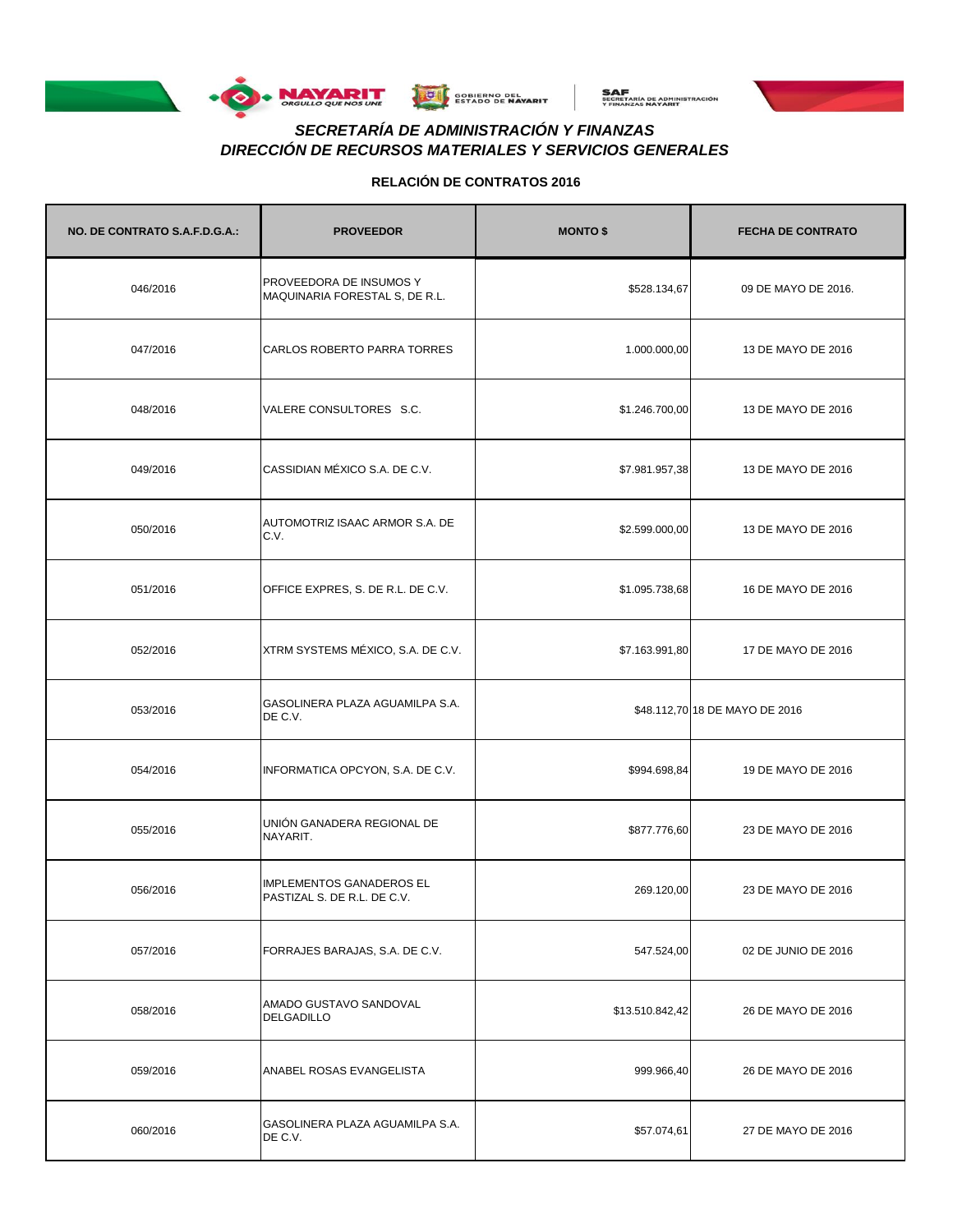





# *DIRECCIÓN DE RECURSOS MATERIALES Y SERVICIOS GENERALES SECRETARÍA DE ADMINISTRACIÓN Y FINANZAS*

| NO. DE CONTRATO S.A.F.D.G.A.: | <b>PROVEEDOR</b>                                          | <b>MONTO \$</b> | <b>FECHA DE CONTRATO</b>       |
|-------------------------------|-----------------------------------------------------------|-----------------|--------------------------------|
| 046/2016                      | PROVEEDORA DE INSUMOS Y<br>MAQUINARIA FORESTAL S, DE R.L. | \$528.134,67    | 09 DE MAYO DE 2016.            |
| 047/2016                      | CARLOS ROBERTO PARRA TORRES                               | 1.000.000,00    | 13 DE MAYO DE 2016             |
| 048/2016                      | VALERE CONSULTORES S.C.                                   | \$1.246.700,00  | 13 DE MAYO DE 2016             |
| 049/2016                      | CASSIDIAN MÉXICO S.A. DE C.V.                             | \$7.981.957,38  | 13 DE MAYO DE 2016             |
| 050/2016                      | AUTOMOTRIZ ISAAC ARMOR S.A. DE<br>C.V.                    | \$2.599.000,00  | 13 DE MAYO DE 2016             |
| 051/2016                      | OFFICE EXPRES, S. DE R.L. DE C.V.                         | \$1.095.738,68  | 16 DE MAYO DE 2016             |
| 052/2016                      | XTRM SYSTEMS MÉXICO, S.A. DE C.V.                         | \$7.163.991,80  | 17 DE MAYO DE 2016             |
| 053/2016                      | GASOLINERA PLAZA AGUAMILPA S.A.<br>DE C.V.                |                 | \$48.112,70 18 DE MAYO DE 2016 |
| 054/2016                      | INFORMATICA OPCYON, S.A. DE C.V.                          | \$994.698,84    | 19 DE MAYO DE 2016             |
| 055/2016                      | UNIÓN GANADERA REGIONAL DE<br>NAYARIT.                    | \$877.776,60    | 23 DE MAYO DE 2016             |
| 056/2016                      | IMPLEMENTOS GANADEROS EL<br>PASTIZAL S. DE R.L. DE C.V.   | 269.120,00      | 23 DE MAYO DE 2016             |
| 057/2016                      | FORRAJES BARAJAS, S.A. DE C.V.                            | 547.524,00      | 02 DE JUNIO DE 2016            |
| 058/2016                      | AMADO GUSTAVO SANDOVAL<br><b>DELGADILLO</b>               | \$13.510.842,42 | 26 DE MAYO DE 2016             |
| 059/2016                      | ANABEL ROSAS EVANGELISTA                                  | 999.966,40      | 26 DE MAYO DE 2016             |
| 060/2016                      | GASOLINERA PLAZA AGUAMILPA S.A.<br>DE C.V.                | \$57.074,61     | 27 DE MAYO DE 2016             |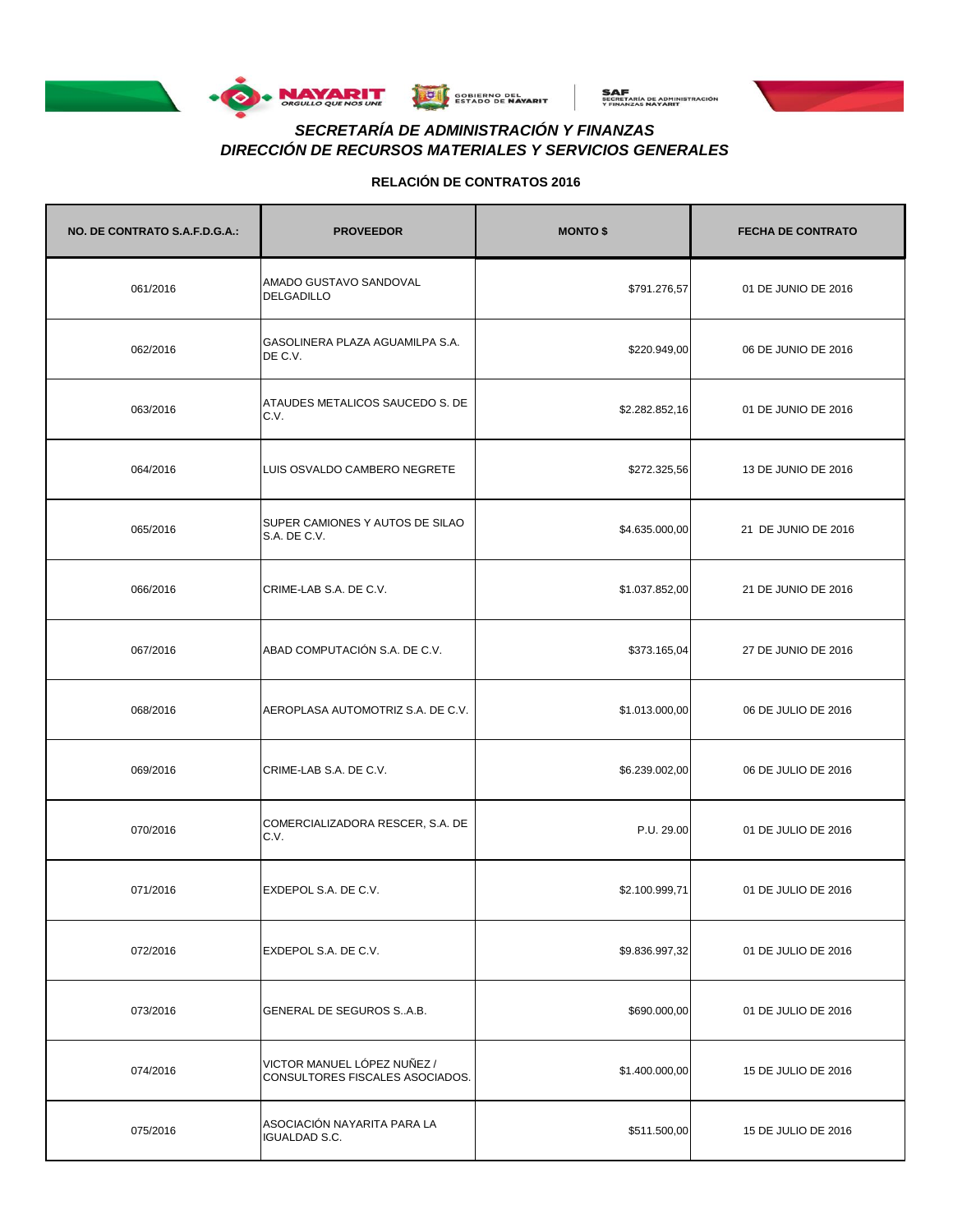





# *DIRECCIÓN DE RECURSOS MATERIALES Y SERVICIOS GENERALES SECRETARÍA DE ADMINISTRACIÓN Y FINANZAS*

| NO. DE CONTRATO S.A.F.D.G.A.: | <b>PROVEEDOR</b>                                               | <b>MONTO \$</b> | <b>FECHA DE CONTRATO</b> |
|-------------------------------|----------------------------------------------------------------|-----------------|--------------------------|
| 061/2016                      | AMADO GUSTAVO SANDOVAL<br><b>DELGADILLO</b>                    | \$791.276,57    | 01 DE JUNIO DE 2016      |
| 062/2016                      | GASOLINERA PLAZA AGUAMILPA S.A.<br>DE C.V.                     | \$220.949,00    | 06 DE JUNIO DE 2016      |
| 063/2016                      | ATAUDES METALICOS SAUCEDO S. DE<br>C.V.                        | \$2.282.852,16  | 01 DE JUNIO DE 2016      |
| 064/2016                      | LUIS OSVALDO CAMBERO NEGRETE                                   | \$272.325,56    | 13 DE JUNIO DE 2016      |
| 065/2016                      | SUPER CAMIONES Y AUTOS DE SILAO<br>S.A. DE C.V.                | \$4.635.000,00  | 21 DE JUNIO DE 2016      |
| 066/2016                      | CRIME-LAB S.A. DE C.V.                                         | \$1.037.852,00  | 21 DE JUNIO DE 2016      |
| 067/2016                      | ABAD COMPUTACIÓN S.A. DE C.V.                                  | \$373.165,04    | 27 DE JUNIO DE 2016      |
| 068/2016                      | AEROPLASA AUTOMOTRIZ S.A. DE C.V.                              | \$1.013.000,00  | 06 DE JULIO DE 2016      |
| 069/2016                      | CRIME-LAB S.A. DE C.V.                                         | \$6.239.002,00  | 06 DE JULIO DE 2016      |
| 070/2016                      | COMERCIALIZADORA RESCER, S.A. DE<br>C.V.                       | P.U. 29.00      | 01 DE JULIO DE 2016      |
| 071/2016                      | EXDEPOL S.A. DE C.V.                                           | \$2.100.999,71  | 01 DE JULIO DE 2016      |
| 072/2016                      | EXDEPOL S.A. DE C.V.                                           | \$9.836.997,32  | 01 DE JULIO DE 2016      |
| 073/2016                      | GENERAL DE SEGUROS SA.B.                                       | \$690.000,00    | 01 DE JULIO DE 2016      |
| 074/2016                      | VICTOR MANUEL LÓPEZ NUÑEZ /<br>CONSULTORES FISCALES ASOCIADOS. | \$1.400.000,00  | 15 DE JULIO DE 2016      |
| 075/2016                      | ASOCIACIÓN NAYARITA PARA LA<br><b>IGUALDAD S.C.</b>            | \$511.500,00    | 15 DE JULIO DE 2016      |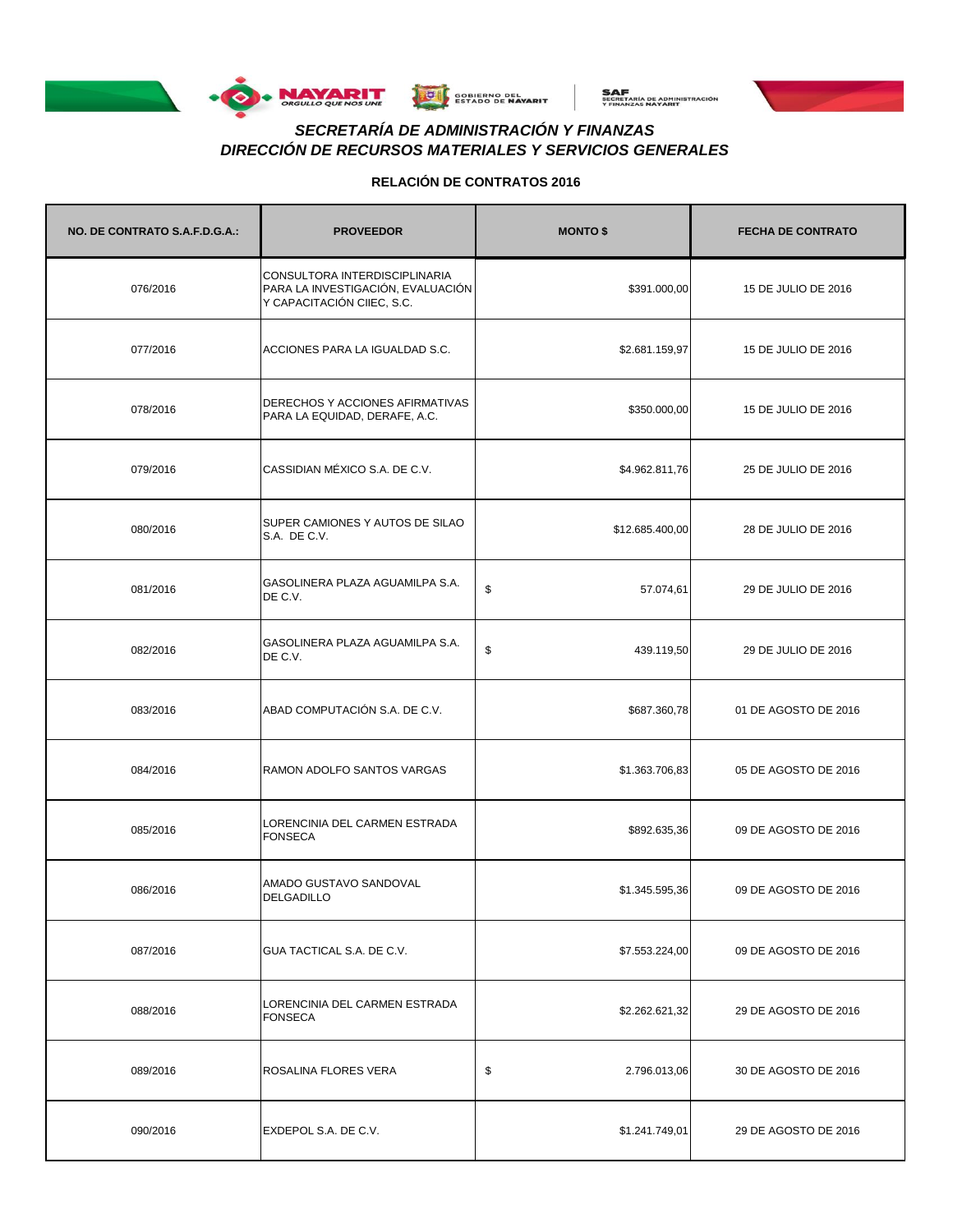





# *DIRECCIÓN DE RECURSOS MATERIALES Y SERVICIOS GENERALES SECRETARÍA DE ADMINISTRACIÓN Y FINANZAS*

| NO. DE CONTRATO S.A.F.D.G.A.: | <b>PROVEEDOR</b>                                                                                 | <b>MONTO \$</b>    | <b>FECHA DE CONTRATO</b> |
|-------------------------------|--------------------------------------------------------------------------------------------------|--------------------|--------------------------|
| 076/2016                      | CONSULTORA INTERDISCIPLINARIA<br>PARA LA INVESTIGACIÓN, EVALUACIÓN<br>Y CAPACITACIÓN CIIEC, S.C. | \$391.000,00       | 15 DE JULIO DE 2016      |
| 077/2016                      | ACCIONES PARA LA IGUALDAD S.C.                                                                   | \$2.681.159,97     | 15 DE JULIO DE 2016      |
| 078/2016                      | DERECHOS Y ACCIONES AFIRMATIVAS<br>PARA LA EQUIDAD, DERAFE, A.C.                                 | \$350.000,00       | 15 DE JULIO DE 2016      |
| 079/2016                      | CASSIDIAN MÉXICO S.A. DE C.V.                                                                    | \$4.962.811,76     | 25 DE JULIO DE 2016      |
| 080/2016                      | SUPER CAMIONES Y AUTOS DE SILAO<br>S.A. DE C.V.                                                  | \$12.685.400,00    | 28 DE JULIO DE 2016      |
| 081/2016                      | GASOLINERA PLAZA AGUAMILPA S.A.<br>DE C.V.                                                       | \$<br>57.074,61    | 29 DE JULIO DE 2016      |
| 082/2016                      | GASOLINERA PLAZA AGUAMILPA S.A.<br>DE C.V.                                                       | \$<br>439.119,50   | 29 DE JULIO DE 2016      |
| 083/2016                      | ABAD COMPUTACIÓN S.A. DE C.V.                                                                    | \$687.360,78       | 01 DE AGOSTO DE 2016     |
| 084/2016                      | <b>RAMON ADOLFO SANTOS VARGAS</b>                                                                | \$1.363.706,83     | 05 DE AGOSTO DE 2016     |
| 085/2016                      | LORENCINIA DEL CARMEN ESTRADA<br><b>FONSECA</b>                                                  | \$892.635,36       | 09 DE AGOSTO DE 2016     |
| 086/2016                      | AMADO GUSTAVO SANDOVAL<br><b>DELGADILLO</b>                                                      | \$1.345.595,36     | 09 DE AGOSTO DE 2016     |
| 087/2016                      | GUA TACTICAL S.A. DE C.V.                                                                        | \$7.553.224,00     | 09 DE AGOSTO DE 2016     |
| 088/2016                      | LORENCINIA DEL CARMEN ESTRADA<br><b>FONSECA</b>                                                  | \$2.262.621,32     | 29 DE AGOSTO DE 2016     |
| 089/2016                      | ROSALINA FLORES VERA                                                                             | \$<br>2.796.013,06 | 30 DE AGOSTO DE 2016     |
| 090/2016                      | EXDEPOL S.A. DE C.V.                                                                             | \$1.241.749,01     | 29 DE AGOSTO DE 2016     |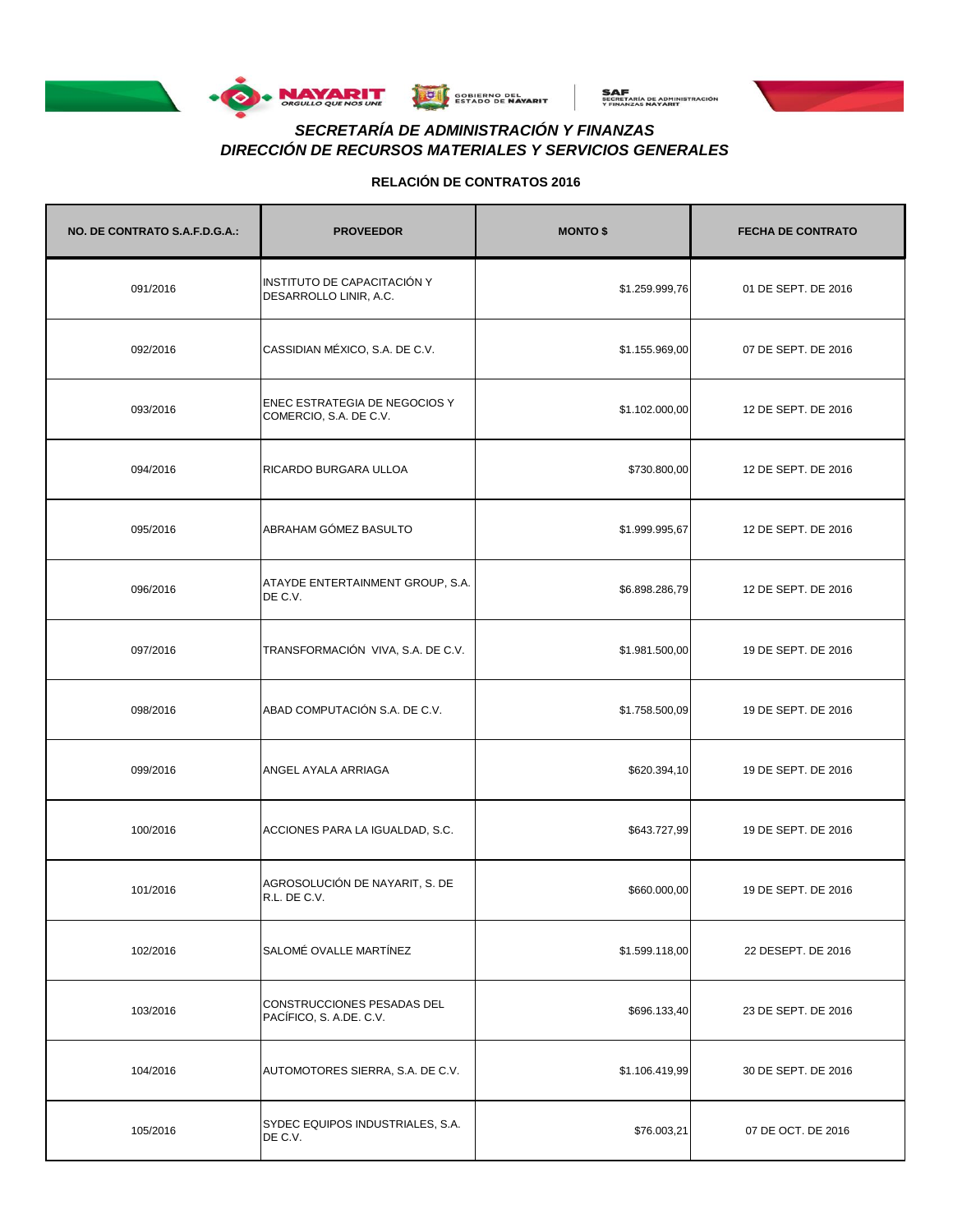





# *DIRECCIÓN DE RECURSOS MATERIALES Y SERVICIOS GENERALES SECRETARÍA DE ADMINISTRACIÓN Y FINANZAS*

| NO. DE CONTRATO S.A.F.D.G.A.: | <b>PROVEEDOR</b>                                               | <b>MONTO \$</b> | <b>FECHA DE CONTRATO</b> |
|-------------------------------|----------------------------------------------------------------|-----------------|--------------------------|
| 091/2016                      | INSTITUTO DE CAPACITACIÓN Y<br>DESARROLLO LINIR, A.C.          | \$1.259.999,76  | 01 DE SEPT. DE 2016      |
| 092/2016                      | CASSIDIAN MÉXICO, S.A. DE C.V.                                 | \$1.155.969,00  | 07 DE SEPT. DE 2016      |
| 093/2016                      | <b>ENEC ESTRATEGIA DE NEGOCIOS Y</b><br>COMERCIO, S.A. DE C.V. | \$1.102.000,00  | 12 DE SEPT. DE 2016      |
| 094/2016                      | RICARDO BURGARA ULLOA                                          | \$730.800,00    | 12 DE SEPT. DE 2016      |
| 095/2016                      | ABRAHAM GÓMEZ BASULTO                                          | \$1.999.995,67  | 12 DE SEPT. DE 2016      |
| 096/2016                      | ATAYDE ENTERTAINMENT GROUP, S.A.<br>DE C.V.                    | \$6.898.286,79  | 12 DE SEPT. DE 2016      |
| 097/2016                      | TRANSFORMACIÓN VIVA, S.A. DE C.V.                              | \$1.981.500,00  | 19 DE SEPT. DE 2016      |
| 098/2016                      | ABAD COMPUTACIÓN S.A. DE C.V.                                  | \$1.758.500,09  | 19 DE SEPT. DE 2016      |
| 099/2016                      | ANGEL AYALA ARRIAGA                                            | \$620.394,10    | 19 DE SEPT. DE 2016      |
| 100/2016                      | ACCIONES PARA LA IGUALDAD, S.C.                                | \$643.727,99    | 19 DE SEPT. DE 2016      |
| 101/2016                      | AGROSOLUCIÓN DE NAYARIT, S. DE<br>R.L. DE C.V.                 | \$660.000,00    | 19 DE SEPT. DE 2016      |
| 102/2016                      | SALOMÉ OVALLE MARTÍNEZ                                         | \$1.599.118,00  | 22 DESEPT. DE 2016       |
| 103/2016                      | <b>CONSTRUCCIONES PESADAS DEL</b><br>PACÍFICO, S. A.DE. C.V.   | \$696.133,40    | 23 DE SEPT. DE 2016      |
| 104/2016                      | AUTOMOTORES SIERRA, S.A. DE C.V.                               | \$1.106.419,99  | 30 DE SEPT. DE 2016      |
| 105/2016                      | SYDEC EQUIPOS INDUSTRIALES, S.A.<br>DE C.V.                    | \$76.003,21     | 07 DE OCT. DE 2016       |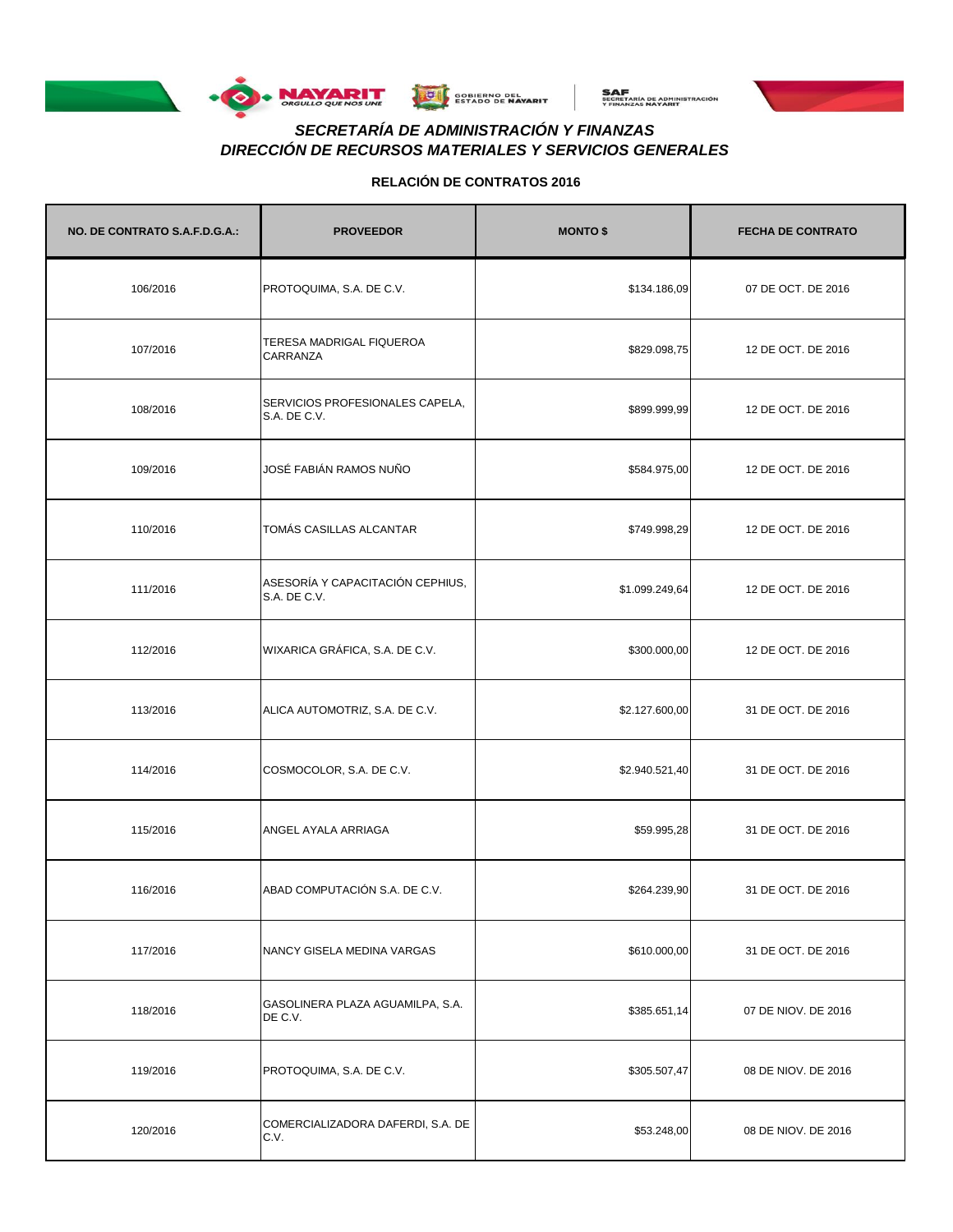





## *DIRECCIÓN DE RECURSOS MATERIALES Y SERVICIOS GENERALES SECRETARÍA DE ADMINISTRACIÓN Y FINANZAS*

| NO. DE CONTRATO S.A.F.D.G.A.: | <b>PROVEEDOR</b>                                 | <b>MONTO \$</b> | <b>FECHA DE CONTRATO</b> |
|-------------------------------|--------------------------------------------------|-----------------|--------------------------|
| 106/2016                      | PROTOQUIMA, S.A. DE C.V.                         | \$134.186,09    | 07 DE OCT. DE 2016       |
| 107/2016                      | TERESA MADRIGAL FIQUEROA<br>CARRANZA             | \$829.098,75    | 12 DE OCT. DE 2016       |
| 108/2016                      | SERVICIOS PROFESIONALES CAPELA,<br>S.A. DE C.V.  | \$899.999,99    | 12 DE OCT. DE 2016       |
| 109/2016                      | JOSÉ FABIÁN RAMOS NUÑO                           | \$584.975,00    | 12 DE OCT. DE 2016       |
| 110/2016                      | TOMÁS CASILLAS ALCANTAR                          | \$749.998,29    | 12 DE OCT. DE 2016       |
| 111/2016                      | ASESORÍA Y CAPACITACIÓN CEPHIUS.<br>S.A. DE C.V. | \$1.099.249,64  | 12 DE OCT. DE 2016       |
| 112/2016                      | WIXARICA GRÁFICA, S.A. DE C.V.                   | \$300.000,00    | 12 DE OCT. DE 2016       |
| 113/2016                      | ALICA AUTOMOTRIZ, S.A. DE C.V.                   | \$2.127.600,00  | 31 DE OCT. DE 2016       |
| 114/2016                      | COSMOCOLOR, S.A. DE C.V.                         | \$2.940.521,40  | 31 DE OCT. DE 2016       |
| 115/2016                      | ANGEL AYALA ARRIAGA                              | \$59.995,28     | 31 DE OCT. DE 2016       |
| 116/2016                      | ABAD COMPUTACIÓN S.A. DE C.V.                    | \$264.239,90    | 31 DE OCT. DE 2016       |
| 117/2016                      | NANCY GISELA MEDINA VARGAS                       | \$610.000,00    | 31 DE OCT. DE 2016       |
| 118/2016                      | GASOLINERA PLAZA AGUAMILPA, S.A.<br>DE C.V.      | \$385.651,14    | 07 DE NIOV. DE 2016      |
| 119/2016                      | PROTOQUIMA, S.A. DE C.V.                         | \$305.507,47    | 08 DE NIOV. DE 2016      |
| 120/2016                      | COMERCIALIZADORA DAFERDI, S.A. DE<br>C.V.        | \$53.248,00     | 08 DE NIOV. DE 2016      |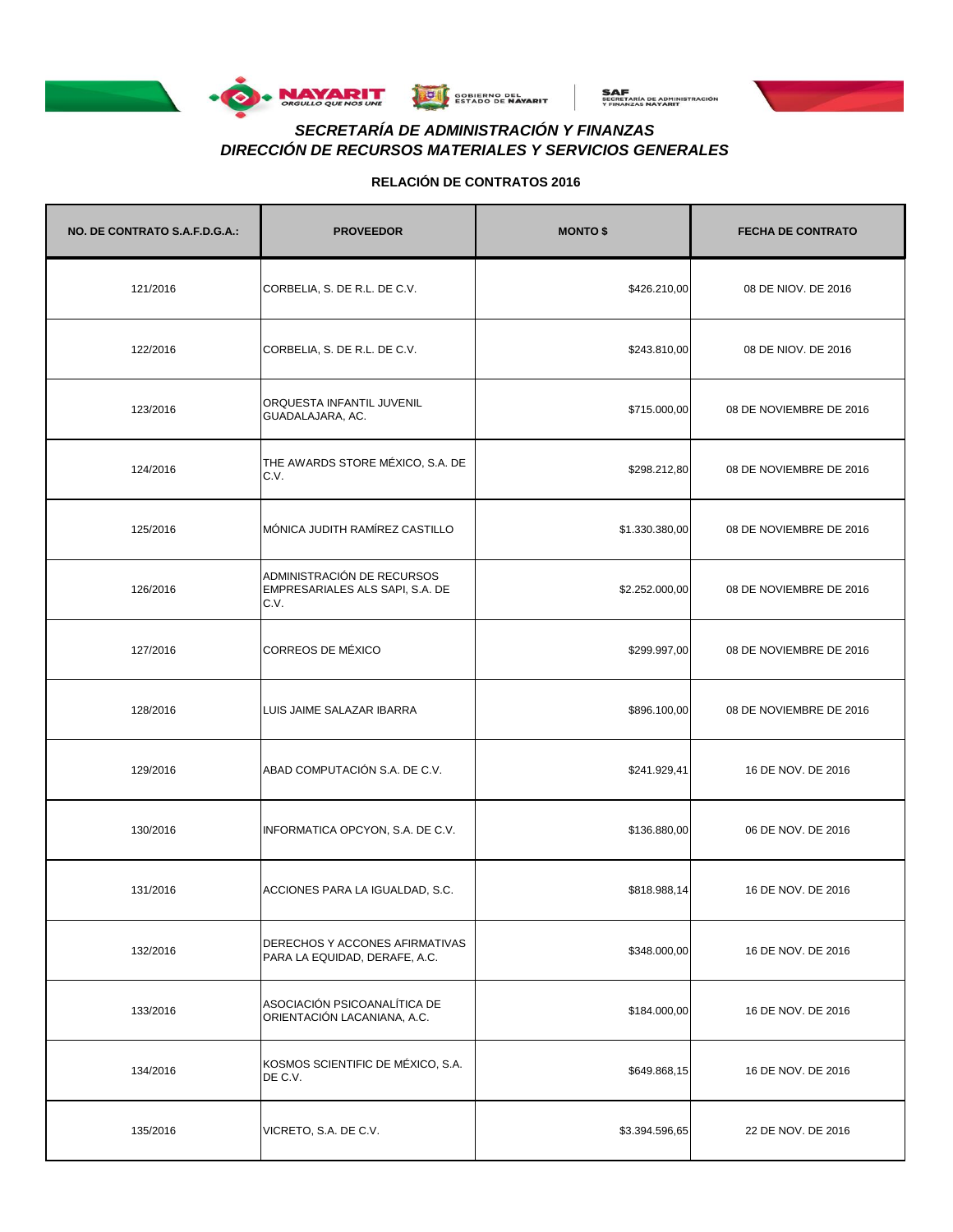





# *DIRECCIÓN DE RECURSOS MATERIALES Y SERVICIOS GENERALES SECRETARÍA DE ADMINISTRACIÓN Y FINANZAS*

| NO. DE CONTRATO S.A.F.D.G.A.: | <b>PROVEEDOR</b>                                                      | <b>MONTO \$</b> | <b>FECHA DE CONTRATO</b> |
|-------------------------------|-----------------------------------------------------------------------|-----------------|--------------------------|
| 121/2016                      | CORBELIA, S. DE R.L. DE C.V.                                          | \$426.210,00    | 08 DE NIOV. DE 2016      |
| 122/2016                      | CORBELIA, S. DE R.L. DE C.V.                                          | \$243.810,00    | 08 DE NIOV. DE 2016      |
| 123/2016                      | ORQUESTA INFANTIL JUVENIL<br>GUADALAJARA, AC.                         | \$715.000,00    | 08 DE NOVIEMBRE DE 2016  |
| 124/2016                      | THE AWARDS STORE MÉXICO, S.A. DE<br>C.V.                              | \$298.212,80    | 08 DE NOVIEMBRE DE 2016  |
| 125/2016                      | MÓNICA JUDITH RAMÍREZ CASTILLO                                        | \$1.330.380,00  | 08 DE NOVIEMBRE DE 2016  |
| 126/2016                      | ADMINISTRACIÓN DE RECURSOS<br>EMPRESARIALES ALS SAPI, S.A. DE<br>C.V. | \$2.252.000,00  | 08 DE NOVIEMBRE DE 2016  |
| 127/2016                      | CORREOS DE MÉXICO                                                     | \$299.997,00    | 08 DE NOVIEMBRE DE 2016  |
| 128/2016                      | LUIS JAIME SALAZAR IBARRA                                             | \$896.100,00    | 08 DE NOVIEMBRE DE 2016  |
| 129/2016                      | ABAD COMPUTACIÓN S.A. DE C.V.                                         | \$241.929,41    | 16 DE NOV. DE 2016       |
| 130/2016                      | INFORMATICA OPCYON, S.A. DE C.V.                                      | \$136.880,00    | 06 DE NOV. DE 2016       |
| 131/2016                      | ACCIONES PARA LA IGUALDAD, S.C.                                       | \$818.988,14    | 16 DE NOV. DE 2016       |
| 132/2016                      | DERECHOS Y ACCONES AFIRMATIVAS<br>PARA LA EQUIDAD, DERAFE, A.C.       | \$348.000,00    | 16 DE NOV. DE 2016       |
| 133/2016                      | ASOCIACIÓN PSICOANALÍTICA DE<br>ORIENTACIÓN LACANIANA, A.C.           | \$184.000,00    | 16 DE NOV. DE 2016       |
| 134/2016                      | KOSMOS SCIENTIFIC DE MÉXICO, S.A.<br>DE C.V.                          | \$649.868,15    | 16 DE NOV. DE 2016       |
| 135/2016                      | VICRETO, S.A. DE C.V.                                                 | \$3.394.596,65  | 22 DE NOV. DE 2016       |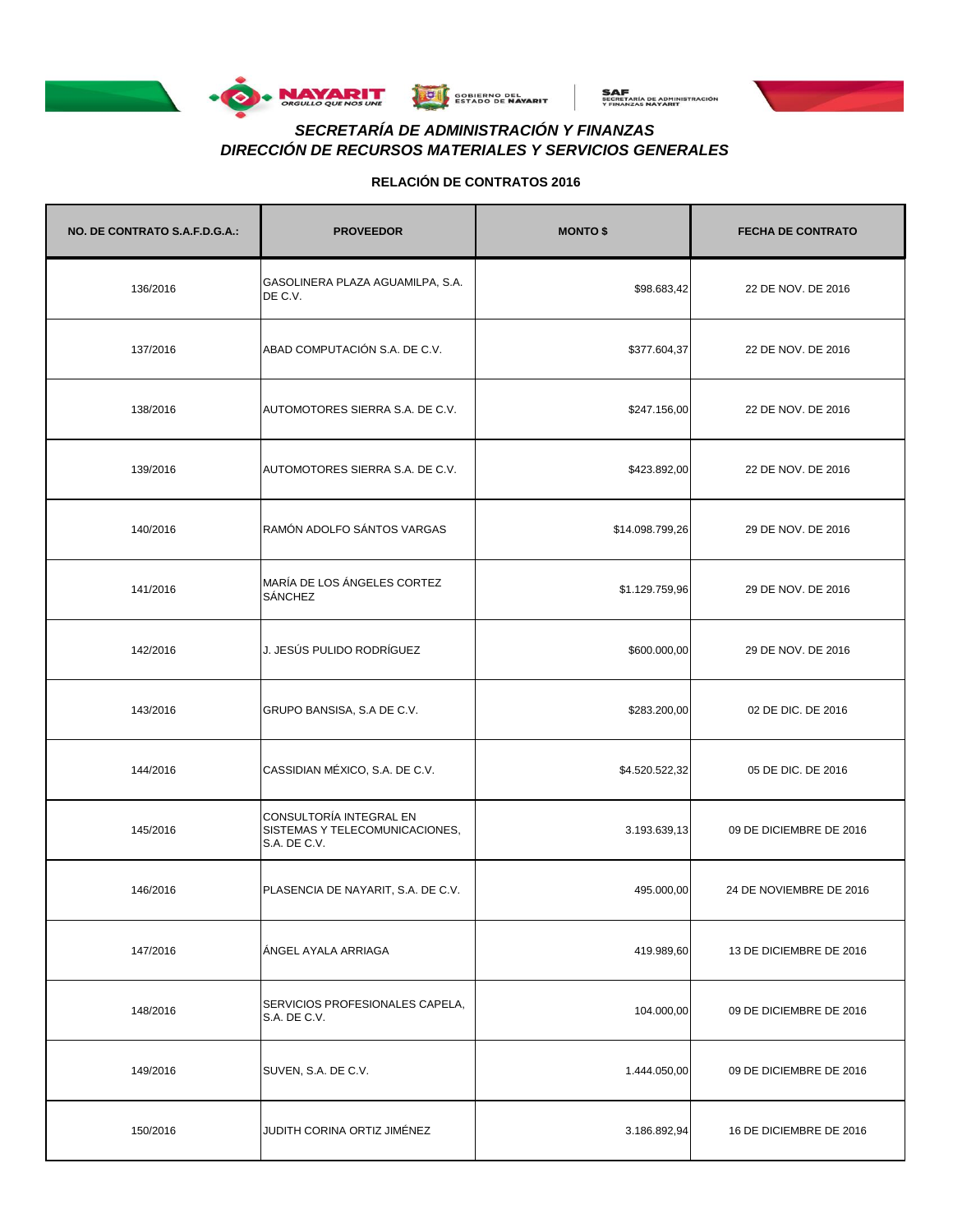





# *DIRECCIÓN DE RECURSOS MATERIALES Y SERVICIOS GENERALES SECRETARÍA DE ADMINISTRACIÓN Y FINANZAS*

| NO. DE CONTRATO S.A.F.D.G.A.: | <b>PROVEEDOR</b>                                                          | <b>MONTO \$</b> | <b>FECHA DE CONTRATO</b> |
|-------------------------------|---------------------------------------------------------------------------|-----------------|--------------------------|
| 136/2016                      | GASOLINERA PLAZA AGUAMILPA, S.A.<br>DE C.V.                               | \$98.683,42     | 22 DE NOV. DE 2016       |
| 137/2016                      | ABAD COMPUTACIÓN S.A. DE C.V.                                             | \$377.604,37    | 22 DE NOV. DE 2016       |
| 138/2016                      | AUTOMOTORES SIERRA S.A. DE C.V.                                           | \$247.156,00    | 22 DE NOV. DE 2016       |
| 139/2016                      | AUTOMOTORES SIERRA S.A. DE C.V.                                           | \$423.892,00    | 22 DE NOV. DE 2016       |
| 140/2016                      | RAMÓN ADOLFO SÁNTOS VARGAS                                                | \$14.098.799,26 | 29 DE NOV. DE 2016       |
| 141/2016                      | MARÍA DE LOS ÁNGELES CORTEZ<br>SÁNCHEZ                                    | \$1.129.759,96  | 29 DE NOV. DE 2016       |
| 142/2016                      | J. JESÚS PULIDO RODRÍGUEZ                                                 | \$600.000,00    | 29 DE NOV. DE 2016       |
| 143/2016                      | GRUPO BANSISA, S.A DE C.V.                                                | \$283.200,00    | 02 DE DIC. DE 2016       |
| 144/2016                      | CASSIDIAN MÉXICO, S.A. DE C.V.                                            | \$4.520.522,32  | 05 DE DIC. DE 2016       |
| 145/2016                      | CONSULTORÍA INTEGRAL EN<br>SISTEMAS Y TELECOMUNICACIONES,<br>S.A. DE C.V. | 3.193.639,13    | 09 DE DICIEMBRE DE 2016  |
| 146/2016                      | PLASENCIA DE NAYARIT, S.A. DE C.V.                                        | 495.000,00      | 24 DE NOVIEMBRE DE 2016  |
| 147/2016                      | ANGEL AYALA ARRIAGA                                                       | 419.989,60      | 13 DE DICIEMBRE DE 2016  |
| 148/2016                      | SERVICIOS PROFESIONALES CAPELA,<br>S.A. DE C.V.                           | 104.000,00      | 09 DE DICIEMBRE DE 2016  |
| 149/2016                      | SUVEN, S.A. DE C.V.                                                       | 1.444.050,00    | 09 DE DICIEMBRE DE 2016  |
| 150/2016                      | JUDITH CORINA ORTIZ JIMÉNEZ                                               | 3.186.892,94    | 16 DE DICIEMBRE DE 2016  |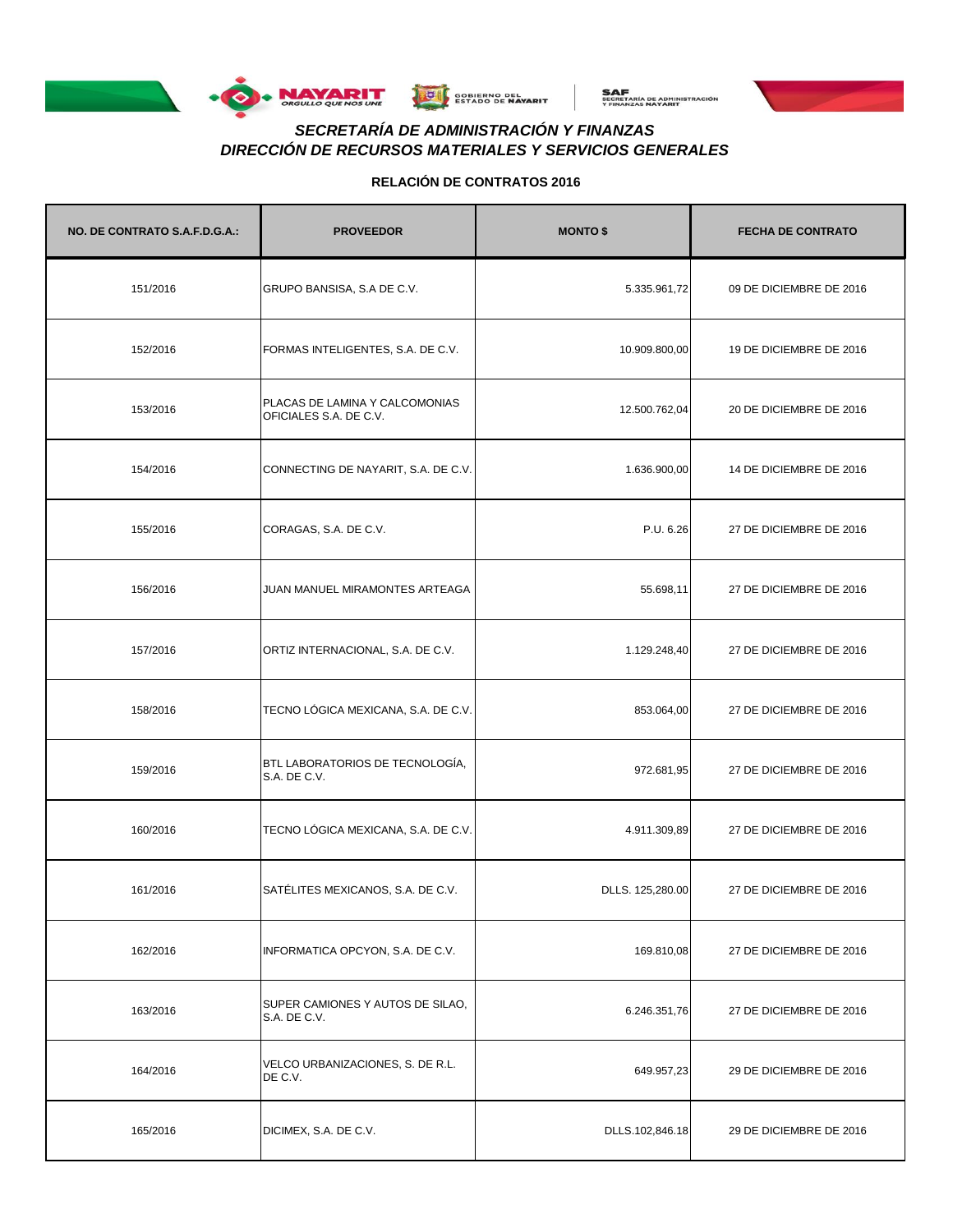





# *DIRECCIÓN DE RECURSOS MATERIALES Y SERVICIOS GENERALES SECRETARÍA DE ADMINISTRACIÓN Y FINANZAS*

| NO. DE CONTRATO S.A.F.D.G.A.: | <b>PROVEEDOR</b>                                         | <b>MONTO \$</b>  | <b>FECHA DE CONTRATO</b> |
|-------------------------------|----------------------------------------------------------|------------------|--------------------------|
| 151/2016                      | GRUPO BANSISA, S.A DE C.V.                               | 5.335.961,72     | 09 DE DICIEMBRE DE 2016  |
| 152/2016                      | FORMAS INTELIGENTES, S.A. DE C.V.                        | 10.909.800,00    | 19 DE DICIEMBRE DE 2016  |
| 153/2016                      | PLACAS DE LAMINA Y CALCOMONIAS<br>OFICIALES S.A. DE C.V. | 12.500.762,04    | 20 DE DICIEMBRE DE 2016  |
| 154/2016                      | CONNECTING DE NAYARIT, S.A. DE C.V.                      | 1.636.900,00     | 14 DE DICIEMBRE DE 2016  |
| 155/2016                      | CORAGAS, S.A. DE C.V.                                    | P.U. 6.26        | 27 DE DICIEMBRE DE 2016  |
| 156/2016                      | JUAN MANUEL MIRAMONTES ARTEAGA                           | 55.698,11        | 27 DE DICIEMBRE DE 2016  |
| 157/2016                      | ORTIZ INTERNACIONAL, S.A. DE C.V.                        | 1.129.248,40     | 27 DE DICIEMBRE DE 2016  |
| 158/2016                      | TECNO LÓGICA MEXICANA, S.A. DE C.V.                      | 853.064,00       | 27 DE DICIEMBRE DE 2016  |
| 159/2016                      | BTL LABORATORIOS DE TECNOLOGÍA,<br>S.A. DE C.V.          | 972.681,95       | 27 DE DICIEMBRE DE 2016  |
| 160/2016                      | TECNO LÓGICA MEXICANA, S.A. DE C.V.                      | 4.911.309,89     | 27 DE DICIEMBRE DE 2016  |
| 161/2016                      | SATÉLITES MEXICANOS, S.A. DE C.V.                        | DLLS. 125,280.00 | 27 DE DICIEMBRE DE 2016  |
| 162/2016                      | INFORMATICA OPCYON, S.A. DE C.V.                         | 169.810,08       | 27 DE DICIEMBRE DE 2016  |
| 163/2016                      | SUPER CAMIONES Y AUTOS DE SILAO,<br>S.A. DE C.V.         | 6.246.351,76     | 27 DE DICIEMBRE DE 2016  |
| 164/2016                      | VELCO URBANIZACIONES, S. DE R.L.<br>DE C.V.              | 649.957,23       | 29 DE DICIEMBRE DE 2016  |
| 165/2016                      | DICIMEX, S.A. DE C.V.                                    | DLLS.102,846.18  | 29 DE DICIEMBRE DE 2016  |